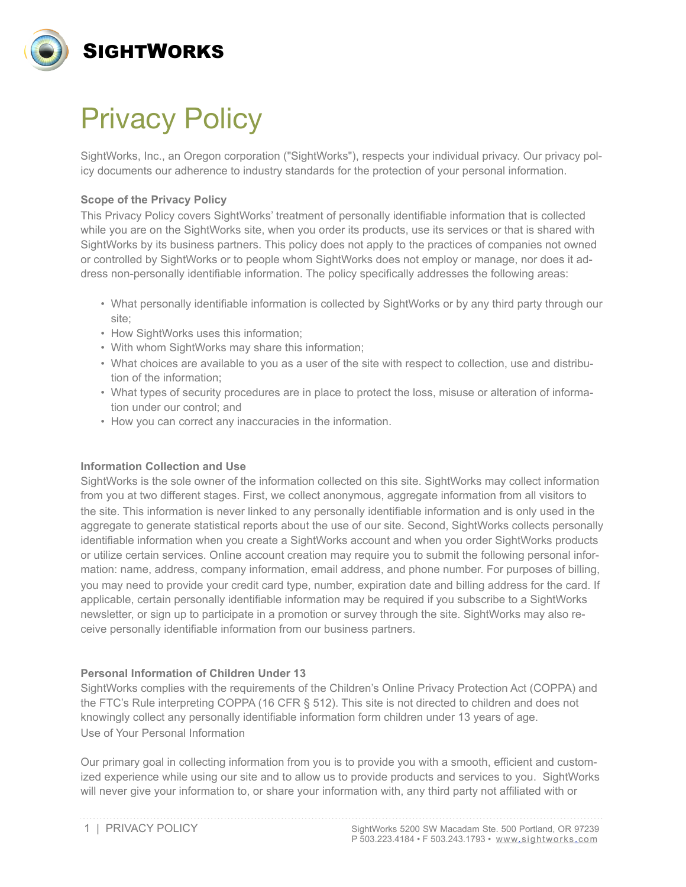

# Privacy Policy

SightWorks, Inc., an Oregon corporation ("SightWorks"), respects your individual privacy. Our privacy policy documents our adherence to industry standards for the protection of your personal information.

# **Scope of the Privacy Policy**

This Privacy Policy covers SightWorks' treatment of personally identifiable information that is collected while you are on the SightWorks site, when you order its products, use its services or that is shared with SightWorks by its business partners. This policy does not apply to the practices of companies not owned or controlled by SightWorks or to people whom SightWorks does not employ or manage, nor does it address non-personally identifiable information. The policy specifically addresses the following areas:

- What personally identifiable information is collected by SightWorks or by any third party through our site;
- How SightWorks uses this information;
- With whom SightWorks may share this information;
- What choices are available to you as a user of the site with respect to collection, use and distribution of the information;
- What types of security procedures are in place to protect the loss, misuse or alteration of information under our control; and
- How you can correct any inaccuracies in the information.

## **Information Collection and Use**

SightWorks is the sole owner of the information collected on this site. SightWorks may collect information from you at two different stages. First, we collect anonymous, aggregate information from all visitors to the site. This information is never linked to any personally identifiable information and is only used in the aggregate to generate statistical reports about the use of our site. Second, SightWorks collects personally identifiable information when you create a SightWorks account and when you order SightWorks products or utilize certain services. Online account creation may require you to submit the following personal information: name, address, company information, email address, and phone number. For purposes of billing, you may need to provide your credit card type, number, expiration date and billing address for the card. If applicable, certain personally identifiable information may be required if you subscribe to a SightWorks newsletter, or sign up to participate in a promotion or survey through the site. SightWorks may also receive personally identifiable information from our business partners.

## **Personal Information of Children Under 13**

SightWorks complies with the requirements of the Children's Online Privacy Protection Act (COPPA) and the FTC's Rule interpreting COPPA (16 CFR § 512). This site is not directed to children and does not knowingly collect any personally identifiable information form children under 13 years of age. Use of Your Personal Information

Our primary goal in collecting information from you is to provide you with a smooth, efficient and customized experience while using our site and to allow us to provide products and services to you. SightWorks will never give your information to, or share your information with, any third party not affiliated with or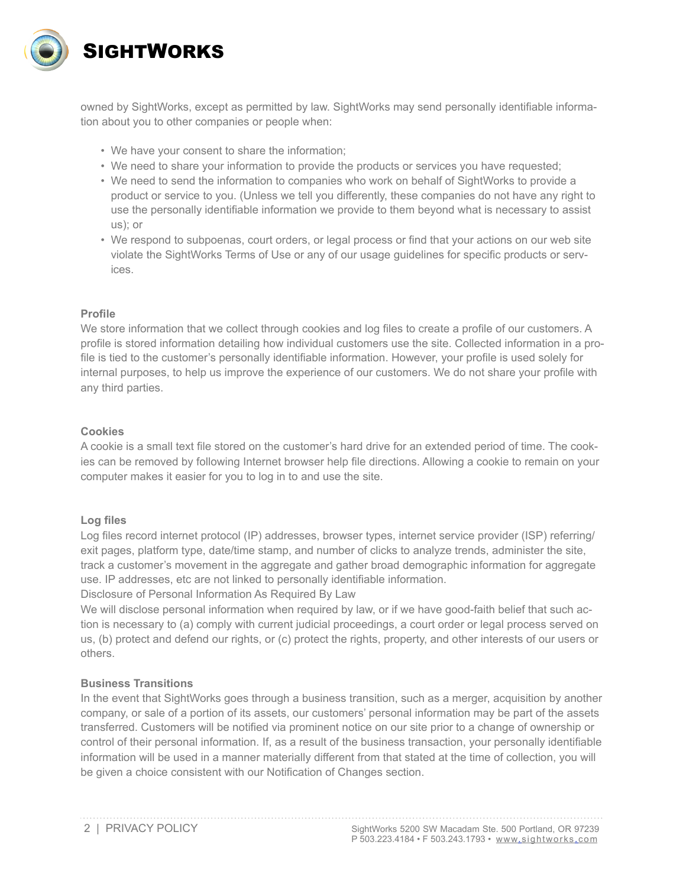

owned by SightWorks, except as permitted by law. SightWorks may send personally identifiable information about you to other companies or people when:

- We have your consent to share the information;
- We need to share your information to provide the products or services you have requested;
- We need to send the information to companies who work on behalf of SightWorks to provide a product or service to you. (Unless we tell you differently, these companies do not have any right to use the personally identifiable information we provide to them beyond what is necessary to assist us); or
- We respond to subpoenas, court orders, or legal process or find that your actions on our web site violate the SightWorks Terms of Use or any of our usage guidelines for specific products or services.

## **Profile**

We store information that we collect through cookies and log files to create a profile of our customers. A profile is stored information detailing how individual customers use the site. Collected information in a profile is tied to the customer's personally identifiable information. However, your profile is used solely for internal purposes, to help us improve the experience of our customers. We do not share your profile with any third parties.

## **Cookies**

A cookie is a small text file stored on the customer's hard drive for an extended period of time. The cookies can be removed by following Internet browser help file directions. Allowing a cookie to remain on your computer makes it easier for you to log in to and use the site.

#### **Log files**

Log files record internet protocol (IP) addresses, browser types, internet service provider (ISP) referring/ exit pages, platform type, date/time stamp, and number of clicks to analyze trends, administer the site, track a customer's movement in the aggregate and gather broad demographic information for aggregate use. IP addresses, etc are not linked to personally identifiable information.

Disclosure of Personal Information As Required By Law

We will disclose personal information when required by law, or if we have good-faith belief that such action is necessary to (a) comply with current judicial proceedings, a court order or legal process served on us, (b) protect and defend our rights, or (c) protect the rights, property, and other interests of our users or others.

#### **Business Transitions**

In the event that SightWorks goes through a business transition, such as a merger, acquisition by another company, or sale of a portion of its assets, our customers' personal information may be part of the assets transferred. Customers will be notified via prominent notice on our site prior to a change of ownership or control of their personal information. If, as a result of the business transaction, your personally identifiable information will be used in a manner materially different from that stated at the time of collection, you will be given a choice consistent with our Notification of Changes section.